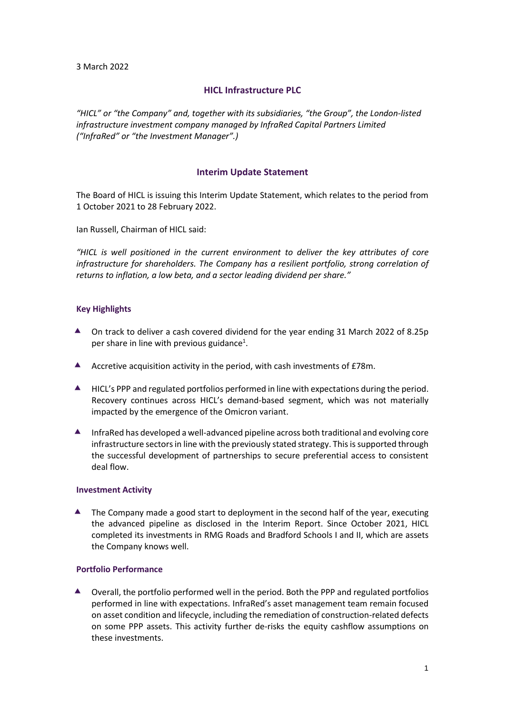3 March 2022

# **HICL Infrastructure PLC**

"HICL" or "the Company" and, together with its subsidiaries, "the Group", the London-listed *infrastructure investment company managed by InfraRed Capital Partners Limited ("InfraRed" or "the Investment Manager".)*

# **Interim Update Statement**

The Board of HICL is issuing this Interim Update Statement, which relates to the period from 1 October 2021 to 28 February 2022.

Ian Russell, Chairman of HICL said:

*"HICL is well positioned in the current environment to deliver the key attributes of core infrastructure for shareholders. The Company has a resilient portfolio, strong correlation of returns to inflation, a low beta, and a sector leading dividend per share."*

## **Key Highlights**

- ▲ On track to deliver a cash covered dividend for the year ending 31 March 2022 of 8.25p per share in line with previous guidance<sup>1</sup>.
- Accretive acquisition activity in the period, with cash investments of £78m.
- ▲ HICL's PPP and regulated portfolios performed in line with expectations during the period. Recovery continues across HICL's demand-based segment, which was not materially impacted by the emergence of the Omicron variant.
- $\blacktriangle$  InfraRed has developed a well-advanced pipeline across both traditional and evolving core infrastructure sectors in line with the previously stated strategy. This is supported through the successful development of partnerships to secure preferential access to consistent deal flow.

### **Investment Activity**

**▲** The Company made a good start to deployment in the second half of the year, executing the advanced pipeline as disclosed in the Interim Report. Since October 2021, HICL completed its investments in RMG Roads and Bradford Schools I and II, which are assets the Company knows well.

### **Portfolio Performance**

 Overall, the portfolio performed well in the period. Both the PPP and regulated portfolios performed in line with expectations. InfraRed's asset management team remain focused on asset condition and lifecycle, including the remediation of construction-related defects on some PPP assets. This activity further de-risks the equity cashflow assumptions on these investments.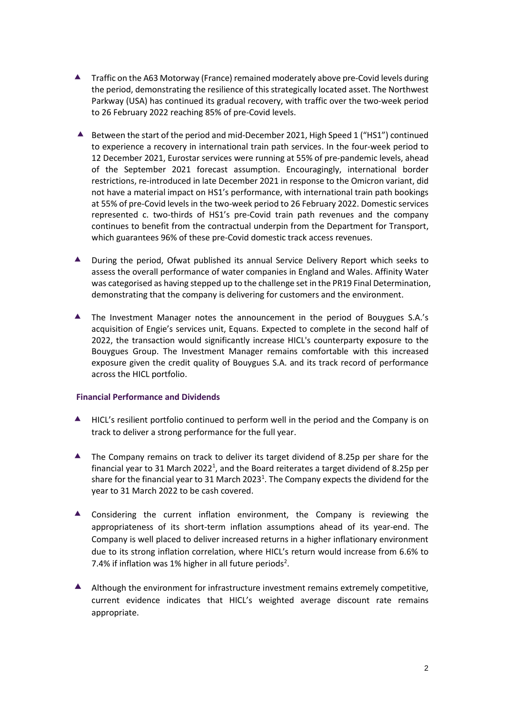- Traffic on the A63 Motorway (France) remained moderately above pre-Covid levels during the period, demonstrating the resilience of this strategically located asset. The Northwest Parkway (USA) has continued its gradual recovery, with traffic over the two-week period to 26 February 2022 reaching 85% of pre-Covid levels.
- $\blacktriangle$  Between the start of the period and mid-December 2021, High Speed 1 ("HS1") continued to experience a recovery in international train path services. In the four-week period to 12 December 2021, Eurostar services were running at 55% of pre-pandemic levels, ahead of the September 2021 forecast assumption. Encouragingly, international border restrictions, re-introduced in late December 2021 in response to the Omicron variant, did not have a material impact on HS1's performance, with international train path bookings at 55% of pre-Covid levels in the two-week period to 26 February 2022. Domestic services represented c. two-thirds of HS1's pre-Covid train path revenues and the company continues to benefit from the contractual underpin from the Department for Transport, which guarantees 96% of these pre-Covid domestic track access revenues.
- ▲ During the period, Ofwat published its annual Service Delivery Report which seeks to assess the overall performance of water companies in England and Wales. Affinity Water was categorised as having stepped up to the challenge set in the PR19 Final Determination, demonstrating that the company is delivering for customers and the environment.
- The Investment Manager notes the announcement in the period of Bouygues S.A.'s acquisition of Engie's services unit, Equans. Expected to complete in the second half of 2022, the transaction would significantly increase HICL's counterparty exposure to the Bouygues Group. The Investment Manager remains comfortable with this increased exposure given the credit quality of Bouygues S.A. and its track record of performance across the HICL portfolio.

## **Financial Performance and Dividends**

- ▲ HICL's resilient portfolio continued to perform well in the period and the Company is on track to deliver a strong performance for the full year.
- ▲ The Company remains on track to deliver its target dividend of 8.25p per share for the financial year to 31 March 2022<sup>1</sup>, and the Board reiterates a target dividend of 8.25p per share for the financial year to 31 March 2023<sup>1</sup>. The Company expects the dividend for the year to 31 March 2022 to be cash covered.
- Considering the current inflation environment, the Company is reviewing the appropriateness of its short-term inflation assumptions ahead of its year-end. The Company is well placed to deliver increased returns in a higher inflationary environment due to its strong inflation correlation, where HICL's return would increase from 6.6% to 7.4% if inflation was 1% higher in all future periods<sup>2</sup>.
- Although the environment for infrastructure investment remains extremely competitive, current evidence indicates that HICL's weighted average discount rate remains appropriate.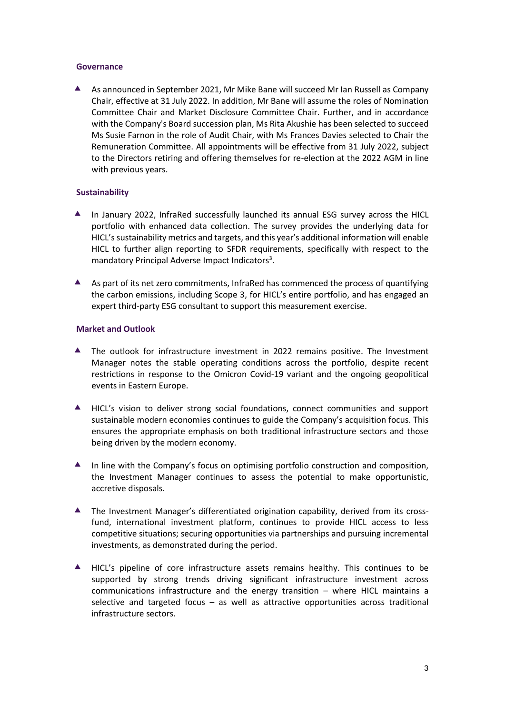### **Governance**

A As announced in September 2021, Mr Mike Bane will succeed Mr Ian Russell as Company Chair, effective at 31 July 2022. In addition, Mr Bane will assume the roles of Nomination Committee Chair and Market Disclosure Committee Chair. Further, and in accordance with the Company's Board succession plan, Ms Rita Akushie has been selected to succeed Ms Susie Farnon in the role of Audit Chair, with Ms Frances Davies selected to Chair the Remuneration Committee. All appointments will be effective from 31 July 2022, subject to the Directors retiring and offering themselves for re-election at the 2022 AGM in line with previous years.

## **Sustainability**

- $\blacktriangle$  In January 2022, InfraRed successfully launched its annual ESG survey across the HICL portfolio with enhanced data collection. The survey provides the underlying data for HICL's sustainability metrics and targets, and this year's additional information will enable HICL to further align reporting to SFDR requirements, specifically with respect to the mandatory Principal Adverse Impact Indicators<sup>3</sup>.
- A As part of its net zero commitments, InfraRed has commenced the process of quantifying the carbon emissions, including Scope 3, for HICL's entire portfolio, and has engaged an expert third-party ESG consultant to support this measurement exercise.

## **Market and Outlook**

- The outlook for infrastructure investment in 2022 remains positive. The Investment Manager notes the stable operating conditions across the portfolio, despite recent restrictions in response to the Omicron Covid-19 variant and the ongoing geopolitical events in Eastern Europe.
- HICL's vision to deliver strong social foundations, connect communities and support sustainable modern economies continues to guide the Company's acquisition focus. This ensures the appropriate emphasis on both traditional infrastructure sectors and those being driven by the modern economy.
- ▲ In line with the Company's focus on optimising portfolio construction and composition, the Investment Manager continues to assess the potential to make opportunistic, accretive disposals.
- The Investment Manager's differentiated origination capability, derived from its crossfund, international investment platform, continues to provide HICL access to less competitive situations; securing opportunities via partnerships and pursuing incremental investments, as demonstrated during the period.
- HICL's pipeline of core infrastructure assets remains healthy. This continues to be supported by strong trends driving significant infrastructure investment across communications infrastructure and the energy transition – where HICL maintains a selective and targeted focus – as well as attractive opportunities across traditional infrastructure sectors.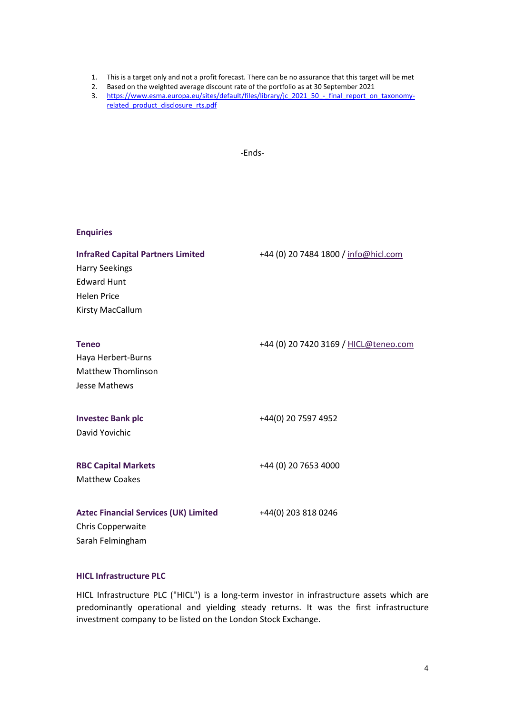- 1. This is a target only and not a profit forecast. There can be no assurance that this target will be met
- 2. Based on the weighted average discount rate of the portfolio as at 30 September 2021
- 3. [https://www.esma.europa.eu/sites/default/files/library/jc\\_2021\\_50\\_-\\_final\\_report\\_on\\_taxonomy](https://www.esma.europa.eu/sites/default/files/library/jc_2021_50_-_final_report_on_taxonomy-related_product_disclosure_rts.pdf)[related\\_product\\_disclosure\\_rts.pdf](https://www.esma.europa.eu/sites/default/files/library/jc_2021_50_-_final_report_on_taxonomy-related_product_disclosure_rts.pdf)

-Ends-

| <b>Enquiries</b>                                                                                                                  |                                       |
|-----------------------------------------------------------------------------------------------------------------------------------|---------------------------------------|
| <b>InfraRed Capital Partners Limited</b><br><b>Harry Seekings</b><br><b>Edward Hunt</b><br><b>Helen Price</b><br>Kirsty MacCallum | +44 (0) 20 7484 1800 / info@hicl.com  |
| <b>Teneo</b><br>Haya Herbert-Burns<br><b>Matthew Thomlinson</b><br>Jesse Mathews                                                  | +44 (0) 20 7420 3169 / HICL@teneo.com |
| <b>Investec Bank plc</b><br>David Yovichic                                                                                        | +44(0) 20 7597 4952                   |
| <b>RBC Capital Markets</b><br><b>Matthew Coakes</b>                                                                               | +44 (0) 20 7653 4000                  |
| <b>Aztec Financial Services (UK) Limited</b><br>Chris Copperwaite<br>Sarah Felmingham                                             | +44(0) 203 818 0246                   |

# **HICL Infrastructure PLC**

HICL Infrastructure PLC ("HICL") is a long-term investor in infrastructure assets which are predominantly operational and yielding steady returns. It was the first infrastructure investment company to be listed on the London Stock Exchange.